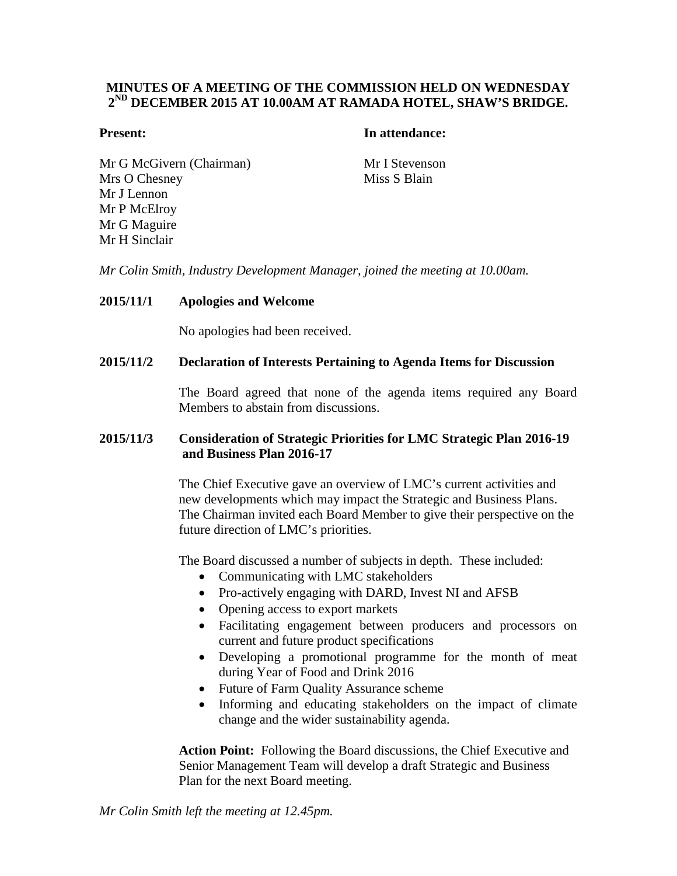# **MINUTES OF A MEETING OF THE COMMISSION HELD ON WEDNESDAY 2ND DECEMBER 2015 AT 10.00AM AT RAMADA HOTEL, SHAW'S BRIDGE.**

### **Present: In attendance:**

Mr G McGivern (Chairman) Mr I Stevenson Mrs O Chesney Mr J Lennon Mr P McElroy Mr G Maguire Mr H Sinclair

Miss S Blain

*Mr Colin Smith, Industry Development Manager, joined the meeting at 10.00am.*

### **2015/11/1 Apologies and Welcome**

No apologies had been received.

#### **2015/11/2 Declaration of Interests Pertaining to Agenda Items for Discussion**

The Board agreed that none of the agenda items required any Board Members to abstain from discussions.

## **2015/11/3 Consideration of Strategic Priorities for LMC Strategic Plan 2016-19 and Business Plan 2016-17**

The Chief Executive gave an overview of LMC's current activities and new developments which may impact the Strategic and Business Plans. The Chairman invited each Board Member to give their perspective on the future direction of LMC's priorities.

The Board discussed a number of subjects in depth. These included:

- Communicating with LMC stakeholders
- Pro-actively engaging with DARD, Invest NI and AFSB
- Opening access to export markets
- Facilitating engagement between producers and processors on current and future product specifications
- Developing a promotional programme for the month of meat during Year of Food and Drink 2016
- Future of Farm Quality Assurance scheme
- Informing and educating stakeholders on the impact of climate change and the wider sustainability agenda.

**Action Point:** Following the Board discussions, the Chief Executive and Senior Management Team will develop a draft Strategic and Business Plan for the next Board meeting.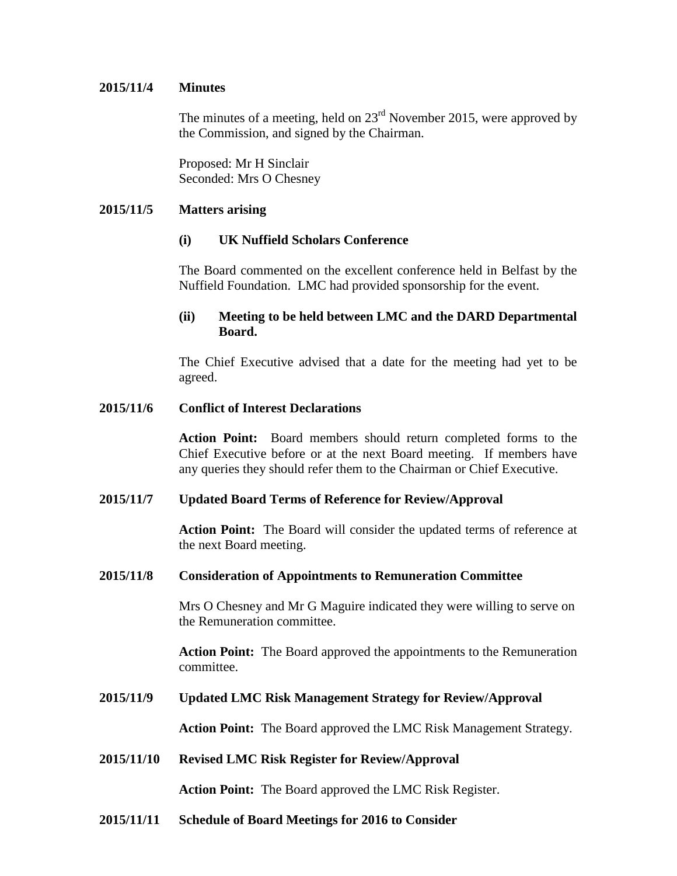## **2015/11/4 Minutes**

The minutes of a meeting, held on  $23<sup>rd</sup>$  November 2015, were approved by the Commission, and signed by the Chairman.

Proposed: Mr H Sinclair Seconded: Mrs O Chesney

## **2015/11/5 Matters arising**

## **(i) UK Nuffield Scholars Conference**

The Board commented on the excellent conference held in Belfast by the Nuffield Foundation. LMC had provided sponsorship for the event.

## **(ii) Meeting to be held between LMC and the DARD Departmental Board.**

The Chief Executive advised that a date for the meeting had yet to be agreed.

### **2015/11/6 Conflict of Interest Declarations**

**Action Point:** Board members should return completed forms to the Chief Executive before or at the next Board meeting. If members have any queries they should refer them to the Chairman or Chief Executive.

### **2015/11/7 Updated Board Terms of Reference for Review/Approval**

**Action Point:** The Board will consider the updated terms of reference at the next Board meeting.

### **2015/11/8 Consideration of Appointments to Remuneration Committee**

Mrs O Chesney and Mr G Maguire indicated they were willing to serve on the Remuneration committee.

**Action Point:** The Board approved the appointments to the Remuneration committee.

#### **2015/11/9 Updated LMC Risk Management Strategy for Review/Approval**

**Action Point:** The Board approved the LMC Risk Management Strategy.

### **2015/11/10 Revised LMC Risk Register for Review/Approval**

**Action Point:** The Board approved the LMC Risk Register.

#### **2015/11/11 Schedule of Board Meetings for 2016 to Consider**